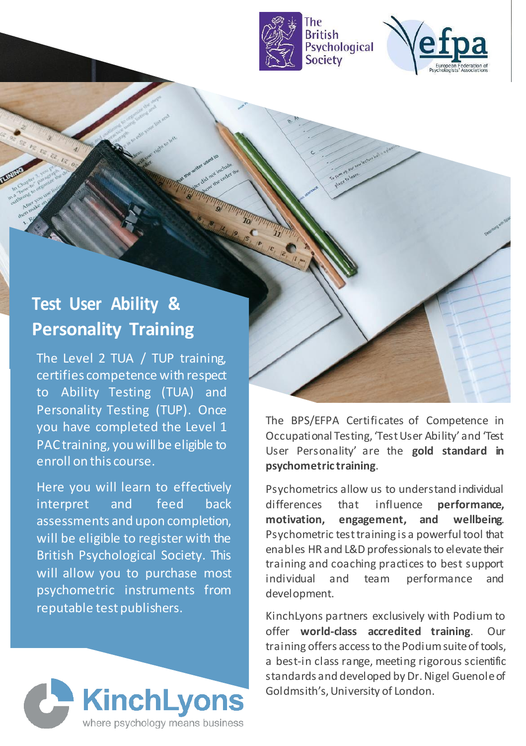



## **Test User Ability & Personality Training**

The Level 2 TUA / TUP training, certifies competence with respect to Ability Testing (TUA) and Personality Testing (TUP). Once you have completed the Level 1 PAC training, you will be eligible to enroll on this course.

Here you will learn to effectively interpret and feed back assessments and upon completion, will be eligible to register with the British Psychological Society. This will allow you to purchase most psychometric instruments from reputable test publishers.



The BPS/EFPA Certificates of Competence in Occupational Testing, 'Test User Ability' and 'Test User Personality' are the **gold standard in psychometric training**.

Psychometrics allow us to understand individual differences that influence **performance, motivation, engagement, and wellbeing**. Psychometric test training is a powerful tool that enables HR and L&D professionals to elevate their training and coaching practices to best support individual and team performance and development.

KinchLyons partners exclusively with Podium to offer **world-class accredited training**. Our training offers access to the Podium suite of tools. a best-in class range, meeting rigorous scientific standards and developed by Dr. Nigel Guenole of Goldmsith's, University of London.